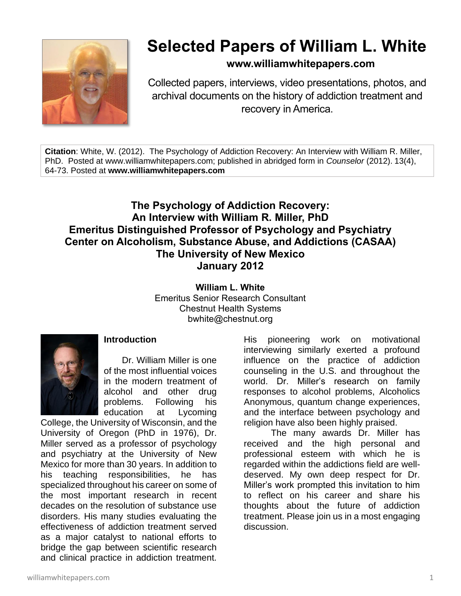

# **Selected Papers of William L. White**

**www.williamwhitepapers.com**

Collected papers, interviews, video presentations, photos, and archival documents on the history of addiction treatment and recovery in America.

**Citation**: White, W. (2012). The Psychology of Addiction Recovery: An Interview with William R. Miller, PhD. Posted at www.williamwhitepapers.com; published in abridged form in *Counselor* (2012). 13(4), 64-73. Posted at **www.williamwhitepapers.com**

# **The Psychology of Addiction Recovery: An Interview with William R. Miller, PhD Emeritus Distinguished Professor of Psychology and Psychiatry Center on Alcoholism, Substance Abuse, and Addictions (CASAA) The University of New Mexico January 2012**

**William L. White** Emeritus Senior Research Consultant Chestnut Health Systems bwhite@chestnut.org



#### **Introduction**

Dr. William Miller is one of the most influential voices in the modern treatment of alcohol and other drug problems. Following his education at Lycoming

College, the University of Wisconsin, and the University of Oregon (PhD in 1976), Dr. Miller served as a professor of psychology and psychiatry at the University of New Mexico for more than 30 years. In addition to his teaching responsibilities, he has specialized throughout his career on some of the most important research in recent decades on the resolution of substance use disorders. His many studies evaluating the effectiveness of addiction treatment served as a major catalyst to national efforts to bridge the gap between scientific research and clinical practice in addiction treatment.

His pioneering work on motivational interviewing similarly exerted a profound influence on the practice of addiction counseling in the U.S. and throughout the world. Dr. Miller's research on family responses to alcohol problems, Alcoholics Anonymous, quantum change experiences, and the interface between psychology and religion have also been highly praised.

The many awards Dr. Miller has received and the high personal and professional esteem with which he is regarded within the addictions field are welldeserved. My own deep respect for Dr. Miller's work prompted this invitation to him to reflect on his career and share his thoughts about the future of addiction treatment. Please join us in a most engaging discussion.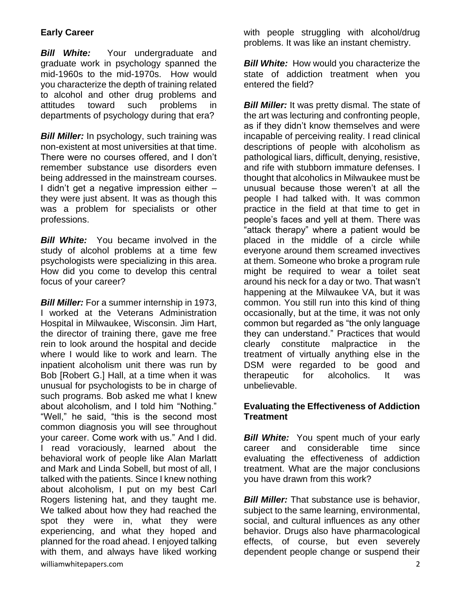# **Early Career**

**Bill White:** Your undergraduate and graduate work in psychology spanned the mid-1960s to the mid-1970s. How would you characterize the depth of training related to alcohol and other drug problems and attitudes toward such problems in departments of psychology during that era?

**Bill Miller:** In psychology, such training was non-existent at most universities at that time. There were no courses offered, and I don't remember substance use disorders even being addressed in the mainstream courses. I didn't get a negative impression either – they were just absent. It was as though this was a problem for specialists or other professions.

*Bill White:* You became involved in the study of alcohol problems at a time few psychologists were specializing in this area. How did you come to develop this central focus of your career?

williamwhitepapers.com 2008 and 2008 and 2008 and 2008 and 2008 and 2008 and 2008 and 2008 and 2008 and 2008 and 2008 and 2008 and 2008 and 2008 and 2008 and 2008 and 2008 and 2008 and 2008 and 2008 and 2008 and 2008 and 2 *Bill Miller:* For a summer internship in 1973, I worked at the Veterans Administration Hospital in Milwaukee, Wisconsin. Jim Hart, the director of training there, gave me free rein to look around the hospital and decide where I would like to work and learn. The inpatient alcoholism unit there was run by Bob [Robert G.] Hall, at a time when it was unusual for psychologists to be in charge of such programs. Bob asked me what I knew about alcoholism, and I told him "Nothing." "Well," he said, "this is the second most common diagnosis you will see throughout your career. Come work with us." And I did. I read voraciously, learned about the behavioral work of people like Alan Marlatt and Mark and Linda Sobell, but most of all, I talked with the patients. Since I knew nothing about alcoholism, I put on my best Carl Rogers listening hat, and they taught me. We talked about how they had reached the spot they were in, what they were experiencing, and what they hoped and planned for the road ahead. I enjoyed talking with them, and always have liked working

with people struggling with alcohol/drug problems. It was like an instant chemistry.

> *Bill White:* How would you characterize the state of addiction treatment when you entered the field?

*Bill Miller:* It was pretty dismal. The state of the art was lecturing and confronting people, as if they didn't know themselves and were incapable of perceiving reality. I read clinical descriptions of people with alcoholism as pathological liars, difficult, denying, resistive, and rife with stubborn immature defenses. I thought that alcoholics in Milwaukee must be unusual because those weren't at all the people I had talked with. It was common practice in the field at that time to get in people's faces and yell at them. There was "attack therapy" where a patient would be placed in the middle of a circle while everyone around them screamed invectives at them. Someone who broke a program rule might be required to wear a toilet seat around his neck for a day or two. That wasn't happening at the Milwaukee VA, but it was common. You still run into this kind of thing occasionally, but at the time, it was not only common but regarded as "the only language they can understand." Practices that would clearly constitute malpractice in the treatment of virtually anything else in the DSM were regarded to be good and therapeutic for alcoholics. It was unbelievable.

#### **Evaluating the Effectiveness of Addiction Treatment**

*Bill White:* You spent much of your early career and considerable time since evaluating the effectiveness of addiction treatment. What are the major conclusions you have drawn from this work?

*Bill Miller:* That substance use is behavior, subject to the same learning, environmental, social, and cultural influences as any other behavior. Drugs also have pharmacological effects, of course, but even severely dependent people change or suspend their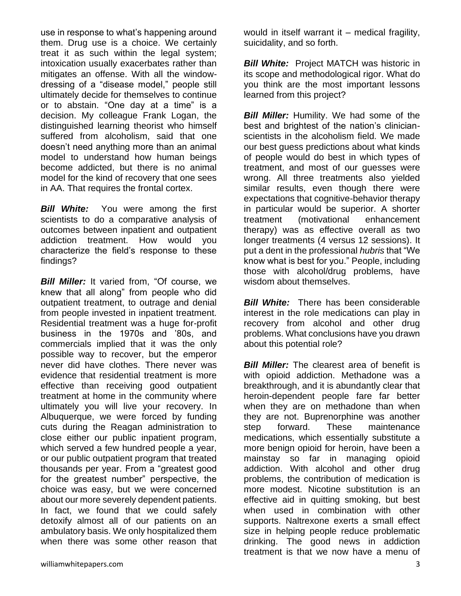use in response to what's happening around them. Drug use is a choice. We certainly treat it as such within the legal system; intoxication usually exacerbates rather than mitigates an offense. With all the windowdressing of a "disease model," people still ultimately decide for themselves to continue or to abstain. "One day at a time" is a decision. My colleague Frank Logan, the distinguished learning theorist who himself suffered from alcoholism, said that one doesn't need anything more than an animal model to understand how human beings become addicted, but there is no animal model for the kind of recovery that one sees in AA. That requires the frontal cortex.

**Bill White:** You were among the first scientists to do a comparative analysis of outcomes between inpatient and outpatient addiction treatment. How would you characterize the field's response to these findings?

**Bill Miller:** It varied from, "Of course, we knew that all along" from people who did outpatient treatment, to outrage and denial from people invested in inpatient treatment. Residential treatment was a huge for-profit business in the 1970s and '80s, and commercials implied that it was the only possible way to recover, but the emperor never did have clothes. There never was evidence that residential treatment is more effective than receiving good outpatient treatment at home in the community where ultimately you will live your recovery. In Albuquerque, we were forced by funding cuts during the Reagan administration to close either our public inpatient program, which served a few hundred people a year, or our public outpatient program that treated thousands per year. From a "greatest good for the greatest number" perspective, the choice was easy, but we were concerned about our more severely dependent patients. In fact, we found that we could safely detoxify almost all of our patients on an ambulatory basis. We only hospitalized them when there was some other reason that

would in itself warrant it – medical fragility, suicidality, and so forth.

*Bill White:* Project MATCH was historic in its scope and methodological rigor. What do you think are the most important lessons learned from this project?

**Bill Miller:** Humility. We had some of the best and brightest of the nation's clinicianscientists in the alcoholism field. We made our best guess predictions about what kinds of people would do best in which types of treatment, and most of our guesses were wrong. All three treatments also yielded similar results, even though there were expectations that cognitive-behavior therapy in particular would be superior. A shorter treatment (motivational enhancement therapy) was as effective overall as two longer treatments (4 versus 12 sessions). It put a dent in the professional *hubris* that "We know what is best for you." People, including those with alcohol/drug problems, have wisdom about themselves.

*Bill White:* There has been considerable interest in the role medications can play in recovery from alcohol and other drug problems. What conclusions have you drawn about this potential role?

*Bill Miller:* The clearest area of benefit is with opioid addiction. Methadone was a breakthrough, and it is abundantly clear that heroin-dependent people fare far better when they are on methadone than when they are not. Buprenorphine was another step forward. These maintenance medications, which essentially substitute a more benign opioid for heroin, have been a mainstay so far in managing opioid addiction. With alcohol and other drug problems, the contribution of medication is more modest. Nicotine substitution is an effective aid in quitting smoking, but best when used in combination with other supports. Naltrexone exerts a small effect size in helping people reduce problematic drinking. The good news in addiction treatment is that we now have a menu of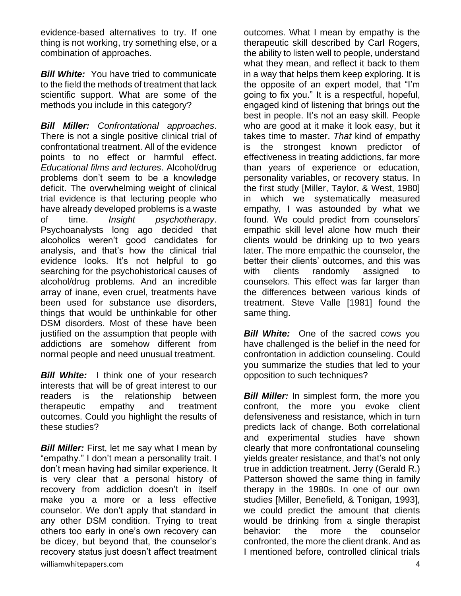evidence-based alternatives to try. If one thing is not working, try something else, or a combination of approaches.

**Bill White:** You have tried to communicate to the field the methods of treatment that lack scientific support. What are some of the methods you include in this category?

*Bill Miller: Confrontational approaches*. There is not a single positive clinical trial of confrontational treatment. All of the evidence points to no effect or harmful effect. *Educational films and lectures*. Alcohol/drug problems don't seem to be a knowledge deficit. The overwhelming weight of clinical trial evidence is that lecturing people who have already developed problems is a waste of time. *Insight psychotherapy*. Psychoanalysts long ago decided that alcoholics weren't good candidates for analysis, and that's how the clinical trial evidence looks. It's not helpful to go searching for the psychohistorical causes of alcohol/drug problems. And an incredible array of inane, even cruel, treatments have been used for substance use disorders, things that would be unthinkable for other DSM disorders. Most of these have been justified on the assumption that people with addictions are somehow different from normal people and need unusual treatment.

**Bill White:** I think one of your research interests that will be of great interest to our readers is the relationship between therapeutic empathy and treatment outcomes. Could you highlight the results of these studies?

williamwhitepapers.com 4 **Bill Miller:** First, let me say what I mean by "empathy." I don't mean a personality trait. I don't mean having had similar experience. It is very clear that a personal history of recovery from addiction doesn't in itself make you a more or a less effective counselor. We don't apply that standard in any other DSM condition. Trying to treat others too early in one's own recovery can be dicey, but beyond that, the counselor's recovery status just doesn't affect treatment

outcomes. What I mean by empathy is the therapeutic skill described by Carl Rogers, the ability to listen well to people, understand what they mean, and reflect it back to them in a way that helps them keep exploring. It is the opposite of an expert model, that "I'm going to fix you." It is a respectful, hopeful, engaged kind of listening that brings out the best in people. It's not an easy skill. People who are good at it make it look easy, but it takes time to master. *That* kind of empathy is the strongest known predictor of effectiveness in treating addictions, far more than years of experience or education, personality variables, or recovery status. In the first study [Miller, Taylor, & West, 1980] in which we systematically measured empathy, I was astounded by what we found. We could predict from counselors' empathic skill level alone how much their clients would be drinking up to two years later. The more empathic the counselor, the better their clients' outcomes, and this was with clients randomly assigned to counselors. This effect was far larger than the differences between various kinds of treatment. Steve Valle [1981] found the same thing.

*Bill White:* One of the sacred cows you have challenged is the belief in the need for confrontation in addiction counseling. Could you summarize the studies that led to your opposition to such techniques?

**Bill Miller:** In simplest form, the more you confront, the more you evoke client defensiveness and resistance, which in turn predicts lack of change. Both correlational and experimental studies have shown clearly that more confrontational counseling yields greater resistance, and that's not only true in addiction treatment. Jerry (Gerald R.) Patterson showed the same thing in family therapy in the 1980s. In one of our own studies [Miller, Benefield, & Tonigan, 1993], we could predict the amount that clients would be drinking from a single therapist behavior: the more the counselor confronted, the more the client drank. And as I mentioned before, controlled clinical trials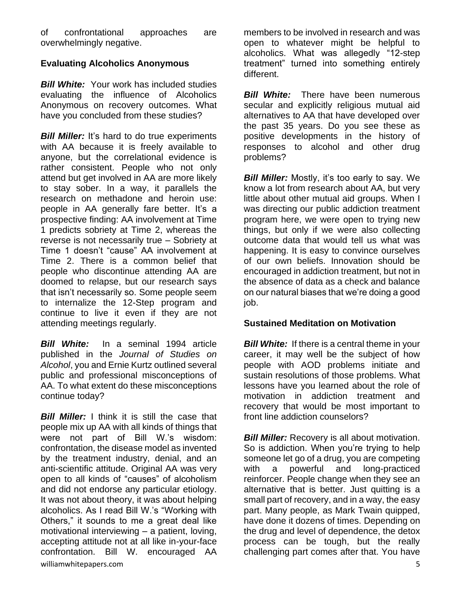of confrontational approaches are overwhelmingly negative.

## **Evaluating Alcoholics Anonymous**

*Bill White:* Your work has included studies evaluating the influence of Alcoholics Anonymous on recovery outcomes. What have you concluded from these studies?

**Bill Miller:** It's hard to do true experiments with AA because it is freely available to anyone, but the correlational evidence is rather consistent. People who not only attend but get involved in AA are more likely to stay sober. In a way, it parallels the research on methadone and heroin use: people in AA generally fare better. It's a prospective finding: AA involvement at Time 1 predicts sobriety at Time 2, whereas the reverse is not necessarily true – Sobriety at Time 1 doesn't "cause" AA involvement at Time 2. There is a common belief that people who discontinue attending AA are doomed to relapse, but our research says that isn't necessarily so. Some people seem to internalize the 12-Step program and continue to live it even if they are not attending meetings regularly.

*Bill White:* In a seminal 1994 article published in the *Journal of Studies on Alcohol*, you and Ernie Kurtz outlined several public and professional misconceptions of AA. To what extent do these misconceptions continue today?

williamwhitepapers.com 5 *Bill Miller:* I think it is still the case that people mix up AA with all kinds of things that were not part of Bill W.'s wisdom: confrontation, the disease model as invented by the treatment industry, denial, and an anti-scientific attitude. Original AA was very open to all kinds of "causes" of alcoholism and did not endorse any particular etiology. It was not about theory, it was about helping alcoholics. As I read Bill W.'s "Working with Others," it sounds to me a great deal like motivational interviewing – a patient, loving, accepting attitude not at all like in-your-face confrontation. Bill W. encouraged AA

members to be involved in research and was open to whatever might be helpful to alcoholics. What was allegedly "12-step treatment" turned into something entirely different.

*Bill White:* There have been numerous secular and explicitly religious mutual aid alternatives to AA that have developed over the past 35 years. Do you see these as positive developments in the history of responses to alcohol and other drug problems?

**Bill Miller:** Mostly, it's too early to say. We know a lot from research about AA, but very little about other mutual aid groups. When I was directing our public addiction treatment program here, we were open to trying new things, but only if we were also collecting outcome data that would tell us what was happening. It is easy to convince ourselves of our own beliefs. Innovation should be encouraged in addiction treatment, but not in the absence of data as a check and balance on our natural biases that we're doing a good job.

## **Sustained Meditation on Motivation**

*Bill White:* If there is a central theme in your career, it may well be the subject of how people with AOD problems initiate and sustain resolutions of those problems. What lessons have you learned about the role of motivation in addiction treatment and recovery that would be most important to front line addiction counselors?

*Bill Miller: Recovery is all about motivation.* So is addiction. When you're trying to help someone let go of a drug, you are competing with a powerful and long-practiced reinforcer. People change when they see an alternative that is better. Just quitting is a small part of recovery, and in a way, the easy part. Many people, as Mark Twain quipped, have done it dozens of times. Depending on the drug and level of dependence, the detox process can be tough, but the really challenging part comes after that. You have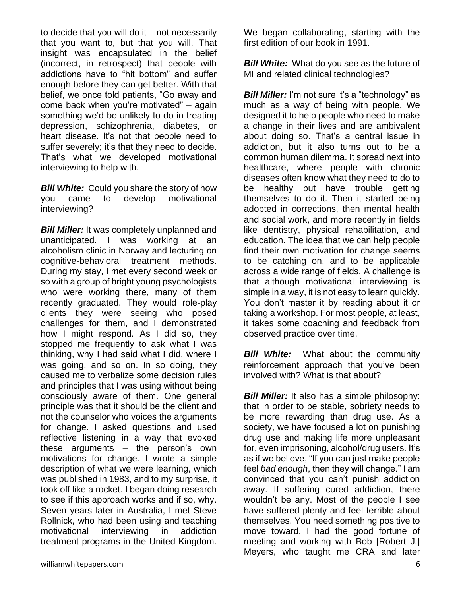to decide that you will do it  $-$  not necessarily that you want to, but that you will. That insight was encapsulated in the belief (incorrect, in retrospect) that people with addictions have to "hit bottom" and suffer enough before they can get better. With that belief, we once told patients, "Go away and come back when you're motivated" – again something we'd be unlikely to do in treating depression, schizophrenia, diabetes, or heart disease. It's not that people need to suffer severely; it's that they need to decide. That's what we developed motivational interviewing to help with.

*Bill White:* Could you share the story of how you came to develop motivational interviewing?

**Bill Miller:** It was completely unplanned and unanticipated. I was working at an alcoholism clinic in Norway and lecturing on cognitive-behavioral treatment methods. During my stay, I met every second week or so with a group of bright young psychologists who were working there, many of them recently graduated. They would role-play clients they were seeing who posed challenges for them, and I demonstrated how I might respond. As I did so, they stopped me frequently to ask what I was thinking, why I had said what I did, where I was going, and so on. In so doing, they caused me to verbalize some decision rules and principles that I was using without being consciously aware of them. One general principle was that it should be the client and not the counselor who voices the arguments for change. I asked questions and used reflective listening in a way that evoked these arguments – the person's own motivations for change. I wrote a simple description of what we were learning, which was published in 1983, and to my surprise, it took off like a rocket. I began doing research to see if this approach works and if so, why. Seven years later in Australia, I met Steve Rollnick, who had been using and teaching motivational interviewing in addiction treatment programs in the United Kingdom.

We began collaborating, starting with the first edition of our book in 1991.

**Bill White:** What do you see as the future of MI and related clinical technologies?

*Bill Miller:* I'm not sure it's a "technology" as much as a way of being with people. We designed it to help people who need to make a change in their lives and are ambivalent about doing so. That's a central issue in addiction, but it also turns out to be a common human dilemma. It spread next into healthcare, where people with chronic diseases often know what they need to do to be healthy but have trouble getting themselves to do it. Then it started being adopted in corrections, then mental health and social work, and more recently in fields like dentistry, physical rehabilitation, and education. The idea that we can help people find their own motivation for change seems to be catching on, and to be applicable across a wide range of fields. A challenge is that although motivational interviewing is simple in a way, it is not easy to learn quickly. You don't master it by reading about it or taking a workshop. For most people, at least, it takes some coaching and feedback from observed practice over time.

*Bill White:* What about the community reinforcement approach that you've been involved with? What is that about?

**Bill Miller:** It also has a simple philosophy: that in order to be stable, sobriety needs to be more rewarding than drug use. As a society, we have focused a lot on punishing drug use and making life more unpleasant for, even imprisoning, alcohol/drug users. It's as if we believe, "If you can just make people feel *bad enough*, then they will change." I am convinced that you can't punish addiction away. If suffering cured addiction, there wouldn't be any. Most of the people I see have suffered plenty and feel terrible about themselves. You need something positive to move toward. I had the good fortune of meeting and working with Bob [Robert J.] Meyers, who taught me CRA and later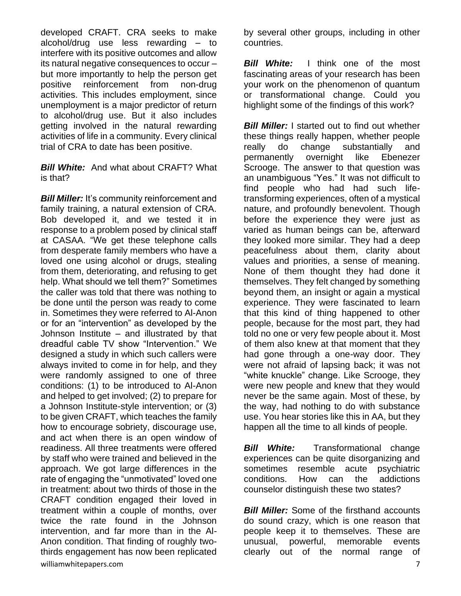developed CRAFT. CRA seeks to make alcohol/drug use less rewarding – to interfere with its positive outcomes and allow its natural negative consequences to occur – but more importantly to help the person get positive reinforcement from non-drug activities. This includes employment, since unemployment is a major predictor of return to alcohol/drug use. But it also includes getting involved in the natural rewarding activities of life in a community. Every clinical trial of CRA to date has been positive.

*Bill White:* And what about CRAFT? What is that?

williamwhitepapers.com 7 **Bill Miller:** It's community reinforcement and family training, a natural extension of CRA. Bob developed it, and we tested it in response to a problem posed by clinical staff at CASAA. "We get these telephone calls from desperate family members who have a loved one using alcohol or drugs, stealing from them, deteriorating, and refusing to get help. What should we tell them?" Sometimes the caller was told that there was nothing to be done until the person was ready to come in. Sometimes they were referred to Al-Anon or for an "intervention" as developed by the Johnson Institute – and illustrated by that dreadful cable TV show "Intervention." We designed a study in which such callers were always invited to come in for help, and they were randomly assigned to one of three conditions: (1) to be introduced to Al-Anon and helped to get involved; (2) to prepare for a Johnson Institute-style intervention; or (3) to be given CRAFT, which teaches the family how to encourage sobriety, discourage use, and act when there is an open window of readiness. All three treatments were offered by staff who were trained and believed in the approach. We got large differences in the rate of engaging the "unmotivated" loved one in treatment: about two thirds of those in the CRAFT condition engaged their loved in treatment within a couple of months, over twice the rate found in the Johnson intervention, and far more than in the Al-Anon condition. That finding of roughly twothirds engagement has now been replicated

by several other groups, including in other countries.

*Bill White:* I think one of the most fascinating areas of your research has been your work on the phenomenon of quantum or transformational change. Could you highlight some of the findings of this work?

**Bill Miller:** I started out to find out whether these things really happen, whether people really do change substantially and permanently overnight like Ebenezer Scrooge. The answer to that question was an unambiguous "Yes." It was not difficult to find people who had had such lifetransforming experiences, often of a mystical nature, and profoundly benevolent. Though before the experience they were just as varied as human beings can be, afterward they looked more similar. They had a deep peacefulness about them, clarity about values and priorities, a sense of meaning. None of them thought they had done it themselves. They felt changed by something beyond them, an insight or again a mystical experience. They were fascinated to learn that this kind of thing happened to other people, because for the most part, they had told no one or very few people about it. Most of them also knew at that moment that they had gone through a one-way door. They were not afraid of lapsing back; it was not "white knuckle" change. Like Scrooge, they were new people and knew that they would never be the same again. Most of these, by the way, had nothing to do with substance use. You hear stories like this in AA, but they happen all the time to all kinds of people.

**Bill White:** Transformational change experiences can be quite disorganizing and sometimes resemble acute psychiatric conditions. How can the addictions counselor distinguish these two states?

**Bill Miller:** Some of the firsthand accounts do sound crazy, which is one reason that people keep it to themselves. These are unusual, powerful, memorable events clearly out of the normal range of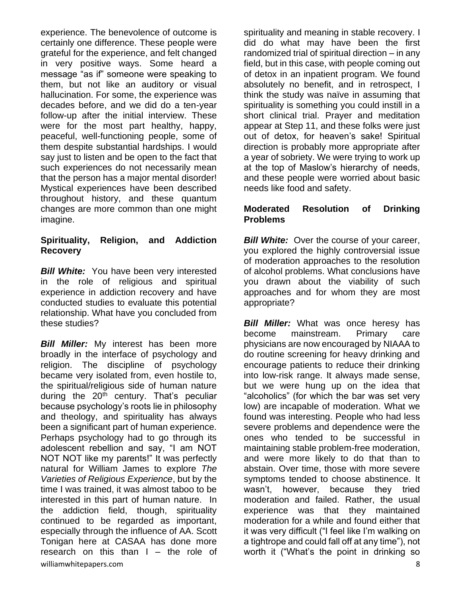experience. The benevolence of outcome is certainly one difference. These people were grateful for the experience, and felt changed in very positive ways. Some heard a message "as if" someone were speaking to them, but not like an auditory or visual hallucination. For some, the experience was decades before, and we did do a ten-year follow-up after the initial interview. These were for the most part healthy, happy, peaceful, well-functioning people, some of them despite substantial hardships. I would say just to listen and be open to the fact that such experiences do not necessarily mean that the person has a major mental disorder! Mystical experiences have been described throughout history, and these quantum changes are more common than one might imagine.

### **Spirituality, Religion, and Addiction Recovery**

*Bill White:* You have been very interested in the role of religious and spiritual experience in addiction recovery and have conducted studies to evaluate this potential relationship. What have you concluded from these studies?

williamwhitepapers.com 8 **Bill Miller:** My interest has been more broadly in the interface of psychology and religion. The discipline of psychology became very isolated from, even hostile to, the spiritual/religious side of human nature during the 20<sup>th</sup> century. That's peculiar because psychology's roots lie in philosophy and theology, and spirituality has always been a significant part of human experience. Perhaps psychology had to go through its adolescent rebellion and say, "I am NOT NOT NOT like my parents!" It was perfectly natural for William James to explore *The Varieties of Religious Experience*, but by the time I was trained, it was almost taboo to be interested in this part of human nature. In the addiction field, though, spirituality continued to be regarded as important, especially through the influence of AA. Scott Tonigan here at CASAA has done more research on this than I – the role of

spirituality and meaning in stable recovery. I did do what may have been the first randomized trial of spiritual direction – in any field, but in this case, with people coming out of detox in an inpatient program. We found absolutely no benefit, and in retrospect, I think the study was naïve in assuming that spirituality is something you could instill in a short clinical trial. Prayer and meditation appear at Step 11, and these folks were just out of detox, for heaven's sake! Spiritual direction is probably more appropriate after a year of sobriety. We were trying to work up at the top of Maslow's hierarchy of needs, and these people were worried about basic needs like food and safety.

#### **Moderated Resolution of Drinking Problems**

*Bill White:* Over the course of your career, you explored the highly controversial issue of moderation approaches to the resolution of alcohol problems. What conclusions have you drawn about the viability of such approaches and for whom they are most appropriate?

**Bill Miller:** What was once heresy has become mainstream. Primary care physicians are now encouraged by NIAAA to do routine screening for heavy drinking and encourage patients to reduce their drinking into low-risk range. It always made sense, but we were hung up on the idea that "alcoholics" (for which the bar was set very low) are incapable of moderation. What we found was interesting. People who had less severe problems and dependence were the ones who tended to be successful in maintaining stable problem-free moderation, and were more likely to do that than to abstain. Over time, those with more severe symptoms tended to choose abstinence. It wasn't, however, because they tried moderation and failed. Rather, the usual experience was that they maintained moderation for a while and found either that it was very difficult ("I feel like I'm walking on a tightrope and could fall off at any time"), not worth it ("What's the point in drinking so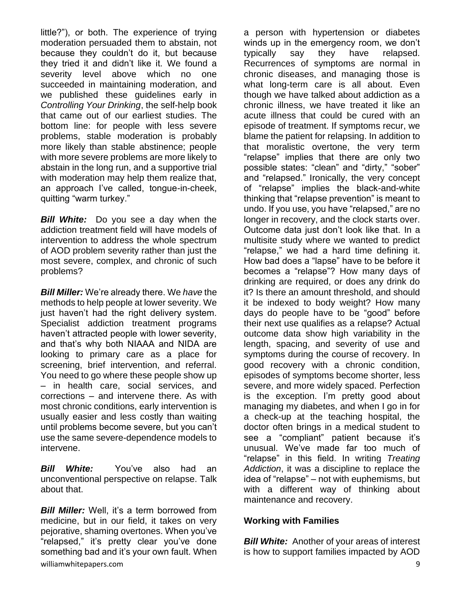little?"), or both. The experience of trying moderation persuaded them to abstain, not because they couldn't do it, but because they tried it and didn't like it. We found a severity level above which no one succeeded in maintaining moderation, and we published these guidelines early in *Controlling Your Drinking*, the self-help book that came out of our earliest studies. The bottom line: for people with less severe problems, stable moderation is probably more likely than stable abstinence; people with more severe problems are more likely to abstain in the long run, and a supportive trial with moderation may help them realize that, an approach I've called, tongue-in-cheek, quitting "warm turkey."

*Bill White:* Do you see a day when the addiction treatment field will have models of intervention to address the whole spectrum of AOD problem severity rather than just the most severe, complex, and chronic of such problems?

*Bill Miller:* We're already there. We *have* the methods to help people at lower severity. We just haven't had the right delivery system. Specialist addiction treatment programs haven't attracted people with lower severity, and that's why both NIAAA and NIDA are looking to primary care as a place for screening, brief intervention, and referral. You need to go where these people show up – in health care, social services, and corrections – and intervene there. As with most chronic conditions, early intervention is usually easier and less costly than waiting until problems become severe, but you can't use the same severe-dependence models to intervene.

*Bill White:* You've also had an unconventional perspective on relapse. Talk about that.

williamwhitepapers.com 9 *Bill Miller:* Well, it's a term borrowed from medicine, but in our field, it takes on very pejorative, shaming overtones. When you've "relapsed," it's pretty clear you've done something bad and it's your own fault. When

a person with hypertension or diabetes winds up in the emergency room, we don't typically say they have relapsed. Recurrences of symptoms are normal in chronic diseases, and managing those is what long-term care is all about. Even though we have talked about addiction as a chronic illness, we have treated it like an acute illness that could be cured with an episode of treatment. If symptoms recur, we blame the patient for relapsing. In addition to that moralistic overtone, the very term "relapse" implies that there are only two possible states: "clean" and "dirty," "sober" and "relapsed." Ironically, the very concept of "relapse" implies the black-and-white thinking that "relapse prevention" is meant to undo. If you use, you have "relapsed," are no longer in recovery, and the clock starts over. Outcome data just don't look like that. In a multisite study where we wanted to predict "relapse," we had a hard time defining it. How bad does a "lapse" have to be before it becomes a "relapse"? How many days of drinking are required, or does any drink do it? Is there an amount threshold, and should it be indexed to body weight? How many days do people have to be "good" before their next use qualifies as a relapse? Actual outcome data show high variability in the length, spacing, and severity of use and symptoms during the course of recovery. In good recovery with a chronic condition, episodes of symptoms become shorter, less severe, and more widely spaced. Perfection is the exception. I'm pretty good about managing my diabetes, and when I go in for a check-up at the teaching hospital, the doctor often brings in a medical student to see a "compliant" patient because it's unusual. We've made far too much of "relapse" in this field. In writing *Treating Addiction*, it was a discipline to replace the idea of "relapse" – not with euphemisms, but with a different way of thinking about maintenance and recovery.

## **Working with Families**

*Bill White:* Another of your areas of interest is how to support families impacted by AOD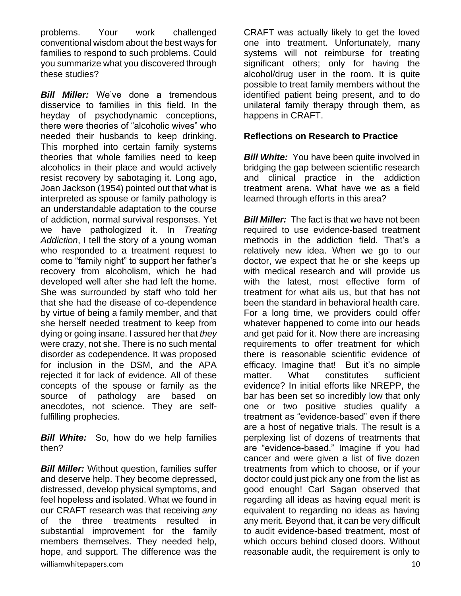problems. Your work challenged conventional wisdom about the best ways for families to respond to such problems. Could you summarize what you discovered through these studies?

*Bill Miller:* We've done a tremendous disservice to families in this field. In the heyday of psychodynamic conceptions, there were theories of "alcoholic wives" who needed their husbands to keep drinking. This morphed into certain family systems theories that whole families need to keep alcoholics in their place and would actively resist recovery by sabotaging it. Long ago, Joan Jackson (1954) pointed out that what is interpreted as spouse or family pathology is an understandable adaptation to the course of addiction, normal survival responses. Yet we have pathologized it. In *Treating Addiction*, I tell the story of a young woman who responded to a treatment request to come to "family night" to support her father's recovery from alcoholism, which he had developed well after she had left the home. She was surrounded by staff who told her that she had the disease of co-dependence by virtue of being a family member, and that she herself needed treatment to keep from dying or going insane. I assured her that *they* were crazy, not she. There is no such mental disorder as codependence. It was proposed for inclusion in the DSM, and the APA rejected it for lack of evidence. All of these concepts of the spouse or family as the source of pathology are based on anecdotes, not science. They are selffulfilling prophecies.

**Bill White:** So, how do we help families then?

williamwhitepapers.com and the community of the community of the community of the community of the community of  $10$ *Bill Miller:* Without question, families suffer and deserve help. They become depressed, distressed, develop physical symptoms, and feel hopeless and isolated. What we found in our CRAFT research was that receiving *any* of the three treatments resulted in substantial improvement for the family members themselves. They needed help, hope, and support. The difference was the

CRAFT was actually likely to get the loved one into treatment. Unfortunately, many systems will not reimburse for treating significant others; only for having the alcohol/drug user in the room. It is quite possible to treat family members without the identified patient being present, and to do unilateral family therapy through them, as happens in CRAFT.

#### **Reflections on Research to Practice**

**Bill White:** You have been quite involved in bridging the gap between scientific research and clinical practice in the addiction treatment arena. What have we as a field learned through efforts in this area?

**Bill Miller:** The fact is that we have not been required to use evidence-based treatment methods in the addiction field. That's a relatively new idea. When we go to our doctor, we expect that he or she keeps up with medical research and will provide us with the latest, most effective form of treatment for what ails us, but that has not been the standard in behavioral health care. For a long time, we providers could offer whatever happened to come into our heads and get paid for it. Now there are increasing requirements to offer treatment for which there is reasonable scientific evidence of efficacy. Imagine that! But it's no simple matter. What constitutes sufficient evidence? In initial efforts like NREPP, the bar has been set so incredibly low that only one or two positive studies qualify a treatment as "evidence-based" even if there are a host of negative trials. The result is a perplexing list of dozens of treatments that are "evidence-based." Imagine if you had cancer and were given a list of five dozen treatments from which to choose, or if your doctor could just pick any one from the list as good enough! Carl Sagan observed that regarding all ideas as having equal merit is equivalent to regarding no ideas as having any merit. Beyond that, it can be very difficult to audit evidence-based treatment, most of which occurs behind closed doors. Without reasonable audit, the requirement is only to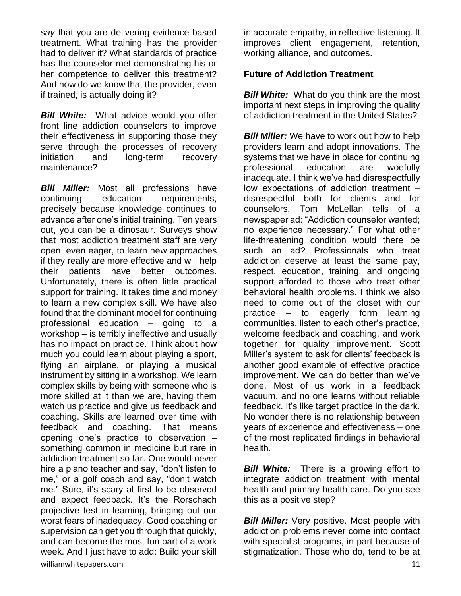*say* that you are delivering evidence-based treatment. What training has the provider had to deliver it? What standards of practice has the counselor met demonstrating his or her competence to deliver this treatment? And how do we know that the provider, even if trained, is actually doing it?

**Bill White:** What advice would you offer front line addiction counselors to improve their effectiveness in supporting those they serve through the processes of recovery initiation and long-term recovery maintenance?

williamwhitepapers.com and the community of the community of the community of the community of the community of  $11$ *Bill Miller:* Most all professions have continuing education requirements, precisely because knowledge continues to advance after one's initial training. Ten years out, you can be a dinosaur. Surveys show that most addiction treatment staff are very open, even eager, to learn new approaches if they really are more effective and will help their patients have better outcomes. Unfortunately, there is often little practical support for training. It takes time and money to learn a new complex skill. We have also found that the dominant model for continuing professional education – going to a workshop – is terribly ineffective and usually has no impact on practice. Think about how much you could learn about playing a sport, flying an airplane, or playing a musical instrument by sitting in a workshop. We learn complex skills by being with someone who is more skilled at it than we are, having them watch us practice and give us feedback and coaching. Skills are learned over time with feedback and coaching. That means opening one's practice to observation – something common in medicine but rare in addiction treatment so far. One would never hire a piano teacher and say, "don't listen to me," or a golf coach and say, "don't watch me." Sure, it's scary at first to be observed and expect feedback. It's the Rorschach projective test in learning, bringing out our worst fears of inadequacy. Good coaching or supervision can get you through that quickly, and can become the most fun part of a work week. And I just have to add: Build your skill

in accurate empathy, in reflective listening. It improves client engagement, retention, working alliance, and outcomes.

#### **Future of Addiction Treatment**

*Bill White:* What do you think are the most important next steps in improving the quality of addiction treatment in the United States?

**Bill Miller:** We have to work out how to help providers learn and adopt innovations. The systems that we have in place for continuing professional education are woefully inadequate. I think we've had disrespectfully low expectations of addiction treatment – disrespectful both for clients and for counselors. Tom McLellan tells of a newspaper ad: "Addiction counselor wanted; no experience necessary." For what other life-threatening condition would there be such an ad? Professionals who treat addiction deserve at least the same pay, respect, education, training, and ongoing support afforded to those who treat other behavioral health problems. I think we also need to come out of the closet with our practice – to eagerly form learning communities, listen to each other's practice, welcome feedback and coaching, and work together for quality improvement. Scott Miller's system to ask for clients' feedback is another good example of effective practice improvement. We can do better than we've done. Most of us work in a feedback vacuum, and no one learns without reliable feedback. It's like target practice in the dark. No wonder there is no relationship between years of experience and effectiveness – one of the most replicated findings in behavioral health.

*Bill White:* There is a growing effort to integrate addiction treatment with mental health and primary health care. Do you see this as a positive step?

**Bill Miller:** Very positive. Most people with addiction problems never come into contact with specialist programs, in part because of stigmatization. Those who do, tend to be at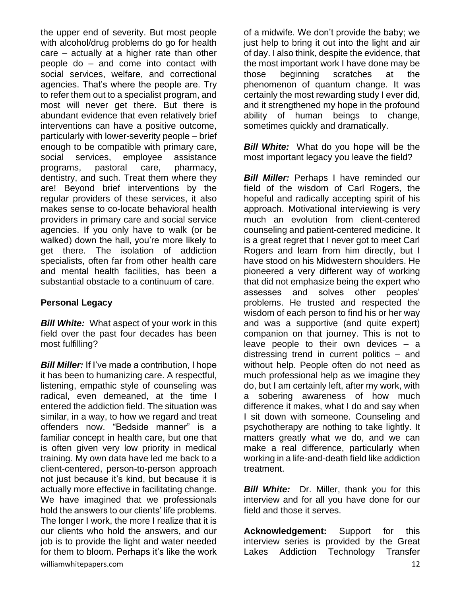the upper end of severity. But most people with alcohol/drug problems do go for health care – actually at a higher rate than other people do – and come into contact with social services, welfare, and correctional agencies. That's where the people are. Try to refer them out to a specialist program, and most will never get there. But there is abundant evidence that even relatively brief interventions can have a positive outcome, particularly with lower-severity people – brief enough to be compatible with primary care, social services, employee assistance programs, pastoral care, pharmacy, dentistry, and such. Treat them where they are! Beyond brief interventions by the regular providers of these services, it also makes sense to co-locate behavioral health providers in primary care and social service agencies. If you only have to walk (or be walked) down the hall, you're more likely to get there. The isolation of addiction specialists, often far from other health care and mental health facilities, has been a substantial obstacle to a continuum of care.

#### **Personal Legacy**

**Bill White:** What aspect of your work in this field over the past four decades has been most fulfilling?

williamwhitepapers.com and the community of the community of the community of the community of the community of  $12$ *Bill Miller:* If I've made a contribution, I hope it has been to humanizing care. A respectful, listening, empathic style of counseling was radical, even demeaned, at the time I entered the addiction field. The situation was similar, in a way, to how we regard and treat offenders now. "Bedside manner" is a familiar concept in health care, but one that is often given very low priority in medical training. My own data have led me back to a client-centered, person-to-person approach not just because it's kind, but because it is actually more effective in facilitating change. We have imagined that we professionals hold the answers to our clients' life problems. The longer I work, the more I realize that it is our clients who hold the answers, and our job is to provide the light and water needed for them to bloom. Perhaps it's like the work

of a midwife. We don't provide the baby; we just help to bring it out into the light and air of day. I also think, despite the evidence, that the most important work I have done may be those beginning scratches at the phenomenon of quantum change. It was certainly the most rewarding study I ever did, and it strengthened my hope in the profound ability of human beings to change, sometimes quickly and dramatically.

*Bill White:* What do you hope will be the most important legacy you leave the field?

**Bill Miller:** Perhaps I have reminded our field of the wisdom of Carl Rogers, the hopeful and radically accepting spirit of his approach. Motivational interviewing is very much an evolution from client-centered counseling and patient-centered medicine. It is a great regret that I never got to meet Carl Rogers and learn from him directly, but I have stood on his Midwestern shoulders. He pioneered a very different way of working that did not emphasize being the expert who assesses and solves other peoples' problems. He trusted and respected the wisdom of each person to find his or her way and was a supportive (and quite expert) companion on that journey. This is not to leave people to their own devices – a distressing trend in current politics – and without help. People often do not need as much professional help as we imagine they do, but I am certainly left, after my work, with a sobering awareness of how much difference it makes, what I do and say when I sit down with someone. Counseling and psychotherapy are nothing to take lightly. It matters greatly what we do, and we can make a real difference, particularly when working in a life-and-death field like addiction treatment.

**Bill White:** Dr. Miller, thank you for this interview and for all you have done for our field and those it serves.

**Acknowledgement:** Support for this interview series is provided by the Great Lakes Addiction Technology Transfer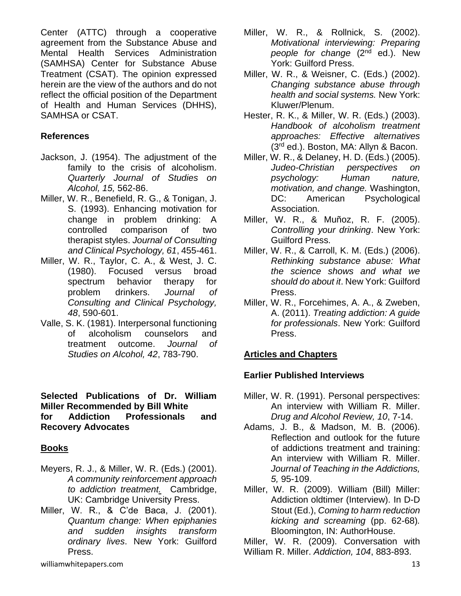Center (ATTC) through a cooperative agreement from the Substance Abuse and Mental Health Services Administration (SAMHSA) Center for Substance Abuse Treatment (CSAT). The opinion expressed herein are the view of the authors and do not reflect the official position of the Department of Health and Human Services (DHHS), SAMHSA or CSAT.

## **References**

- Jackson, J. (1954). The adjustment of the family to the crisis of alcoholism. *Quarterly Journal of Studies on Alcohol, 15,* 562-86.
- Miller, W. R., Benefield, R. G., & Tonigan, J. S. (1993). Enhancing motivation for change in problem drinking: A controlled comparison of two therapist styles. *Journal of Consulting and Clinical Psychology, 61*, 455-461.
- Miller, W. R., Taylor, C. A., & West, J. C. (1980). Focused versus broad spectrum behavior therapy for problem drinkers. *Journal of Consulting and Clinical Psychology, 48*, 590-601.
- Valle, S. K. (1981). Interpersonal functioning of alcoholism counselors and treatment outcome. *Journal of Studies on Alcohol, 42*, 783-790.

#### **Selected Publications of Dr. William Miller Recommended by Bill White for Addiction Professionals and Recovery Advocates**

## **Books**

- Meyers, R. J., & Miller, W. R. (Eds.) (2001). *A community reinforcement approach to addiction treatment.* Cambridge, UK: Cambridge University Press.
- Miller, W. R., & C'de Baca, J. (2001). *Quantum change: When epiphanies and sudden insights transform ordinary lives*. New York: Guilford Press.
- Miller, W. R., & Rollnick, S. (2002). *Motivational interviewing: Preparing people for change* (2<sup>nd</sup> ed.). New York: Guilford Press.
- Miller, W. R., & Weisner, C. (Eds.) (2002). *Changing substance abuse through health and social systems.* New York: Kluwer/Plenum.
- Hester, R. K., & Miller, W. R. (Eds.) (2003). *Handbook of alcoholism treatment approaches: Effective alternatives* (3rd ed.). Boston, MA: Allyn & Bacon.
- Miller, W. R., & Delaney, H. D. (Eds.) (2005). *Judeo-Christian perspectives on psychology: Human nature, motivation, and change.* Washington, DC: American Psychological Association.
- Miller, W. R., & Muñoz, R. F. (2005). *Controlling your drinking*. New York: Guilford Press.
- Miller, W. R., & Carroll, K. M. (Eds.) (2006). *Rethinking substance abuse: What the science shows and what we should do about it*. New York: Guilford Press.
- Miller, W. R., Forcehimes, A. A., & Zweben, A. (2011). *Treating addiction: A guide for professionals*. New York: Guilford Press.

# **Articles and Chapters**

## **Earlier Published Interviews**

- Miller, W. R. (1991). Personal perspectives: An interview with William R. Miller. *Drug and Alcohol Review, 10*, 7-14.
- Adams, J. B., & Madson, M. B. (2006). Reflection and outlook for the future of addictions treatment and training: An interview with William R. Miller. *Journal of Teaching in the Addictions, 5,* 95-109.
- Miller, W. R. (2009). William (Bill) Miller: Addiction oldtimer (Interview). In D-D Stout (Ed.), *Coming to harm reduction kicking and screaming* (pp. 62-68)*.* Bloomington, IN: AuthorHouse.

Miller, W. R. (2009). Conversation with William R. Miller. *Addiction, 104*, 883-893.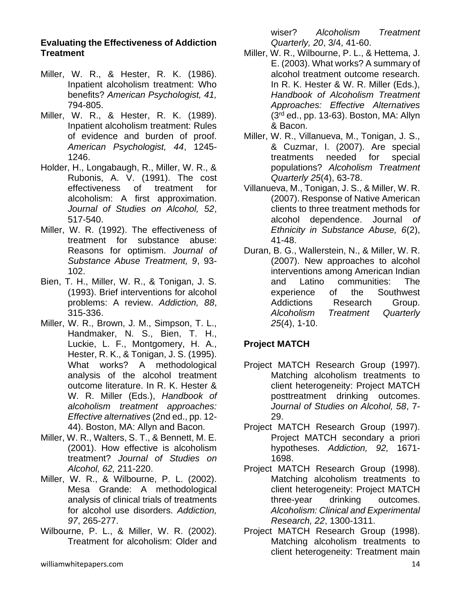#### **Evaluating the Effectiveness of Addiction Treatment**

- Miller, W. R., & Hester, R. K. (1986). Inpatient alcoholism treatment: Who benefits? *American Psychologist, 41,* 794-805.
- Miller, W. R., & Hester, R. K. (1989). Inpatient alcoholism treatment: Rules of evidence and burden of proof. *American Psychologist, 44*, 1245- 1246.
- Holder, H., Longabaugh, R., Miller, W. R., & Rubonis, A. V. (1991). The cost effectiveness of treatment for alcoholism: A first approximation. *Journal of Studies on Alcohol, 52*, 517-540.
- Miller, W. R. (1992). The effectiveness of treatment for substance abuse: Reasons for optimism. *Journal of Substance Abuse Treatment, 9*, 93- 102.
- Bien, T. H., Miller, W. R., & Tonigan, J. S. (1993). Brief interventions for alcohol problems: A review. *Addiction, 88*, 315-336.
- Miller, W. R., Brown, J. M., Simpson, T. L., Handmaker, N. S., Bien, T. H., Luckie, L. F., Montgomery, H. A., Hester, R. K., & Tonigan, J. S. (1995). What works? A methodological analysis of the alcohol treatment outcome literature. In R. K. Hester & W. R. Miller (Eds.), *Handbook of alcoholism treatment approaches: Effective alternatives* (2nd ed., pp. 12- 44). Boston, MA: Allyn and Bacon.
- Miller, W. R., Walters, S. T., & Bennett, M. E. (2001). How effective is alcoholism treatment? *Journal of Studies on Alcohol, 62,* 211-220.
- Miller, W. R., & Wilbourne, P. L. (2002). Mesa Grande: A methodological analysis of clinical trials of treatments for alcohol use disorders. *Addiction, 97*, 265-277.
- Wilbourne, P. L., & Miller, W. R. (2002). Treatment for alcoholism: Older and

wiser? *Alcoholism Treatment Quarterly, 20*, 3/4, 41-60.

- Miller, W. R., Wilbourne, P. L., & Hettema, J. E. (2003). What works? A summary of alcohol treatment outcome research. In R. K. Hester & W. R. Miller (Eds.), *Handbook of Alcoholism Treatment Approaches: Effective Alternatives* (3rd ed., pp. 13-63). Boston, MA: Allyn & Bacon.
- Miller, W. R., Villanueva, M., Tonigan, J. S., & Cuzmar, I. (2007). Are special treatments needed for special populations? *Alcoholism Treatment Quarterly 25*(4), 63-78.
- Villanueva, M., Tonigan, J. S., & Miller, W. R. (2007). Response of Native American clients to three treatment methods for alcohol dependence. Journal *of Ethnicity in Substance Abuse, 6*(2), 41-48.
- Duran, B. G., Wallerstein, N., & Miller, W. R. (2007). New approaches to alcohol interventions among American Indian and Latino communities: The experience of the Southwest Addictions Research Group. *Alcoholism Treatment Quarterly 25*(4), 1-10.

# **Project MATCH**

- Project MATCH Research Group (1997). Matching alcoholism treatments to client heterogeneity: Project MATCH posttreatment drinking outcomes. *Journal of Studies on Alcohol, 58*, 7- 29.
- Project MATCH Research Group (1997). Project MATCH secondary a priori hypotheses. *Addiction, 92,* 1671- 1698.
- Project MATCH Research Group (1998). Matching alcoholism treatments to client heterogeneity: Project MATCH three-year drinking outcomes. *Alcoholism: Clinical and Experimental Research, 22*, 1300-1311.
- Project MATCH Research Group (1998). Matching alcoholism treatments to client heterogeneity: Treatment main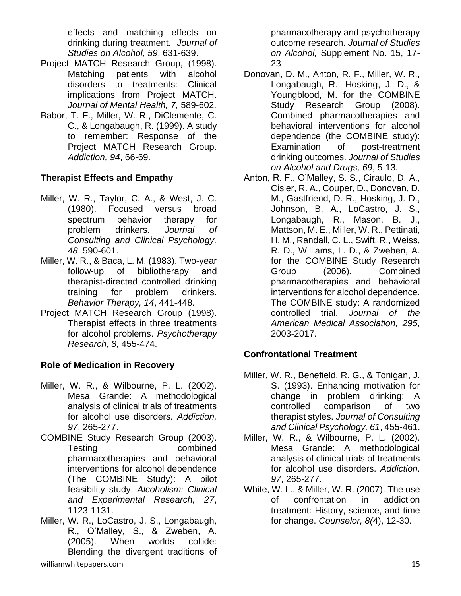effects and matching effects on drinking during treatment. *Journal of Studies on Alcohol, 59*, 631-639.

- Project MATCH Research Group, (1998). Matching patients with alcohol disorders to treatments: Clinical implications from Project MATCH. *Journal of Mental Health, 7,* 589-602.
- Babor, T. F., Miller, W. R., DiClemente, C. C., & Longabaugh, R. (1999). A study to remember: Response of the Project MATCH Research Group. *Addiction, 94*, 66-69.

# **Therapist Effects and Empathy**

- Miller, W. R., Taylor, C. A., & West, J. C. (1980). Focused versus broad spectrum behavior therapy for problem drinkers. *Journal of Consulting and Clinical Psychology, 48*, 590-601.
- Miller, W. R., & Baca, L. M. (1983). Two-year follow-up of bibliotherapy and therapist-directed controlled drinking training for problem drinkers. *Behavior Therapy, 14*, 441-448.
- Project MATCH Research Group (1998). Therapist effects in three treatments for alcohol problems. *Psychotherapy Research, 8,* 455-474.

# **Role of Medication in Recovery**

- Miller, W. R., & Wilbourne, P. L. (2002). Mesa Grande: A methodological analysis of clinical trials of treatments for alcohol use disorders. *Addiction, 97*, 265-277.
- COMBINE Study Research Group (2003). Testing combined pharmacotherapies and behavioral interventions for alcohol dependence (The COMBINE Study): A pilot feasibility study. *Alcoholism: Clinical and Experimental Research, 27*, 1123-1131.
- Miller, W. R., LoCastro, J. S., Longabaugh, R., O'Malley, S., & Zweben, A. (2005). When worlds collide: Blending the divergent traditions of

pharmacotherapy and psychotherapy outcome research. *Journal of Studies on Alcohol,* Supplement No. 15, 17- 23

- Donovan, D. M., Anton, R. F., Miller, W. R., Longabaugh, R., Hosking, J. D., & Youngblood, M. for the COMBINE Study Research Group (2008). Combined pharmacotherapies and behavioral interventions for alcohol dependence (the COMBINE study): Examination of post-treatment drinking outcomes. *Journal of Studies on Alcohol and Drugs, 69*, 5-13*.*
- Anton, R. F., O'Malley, S. S., Ciraulo, D. A., Cisler, R. A., Couper, D., Donovan, D. M., Gastfriend, D. R., Hosking, J. D., Johnson, B. A., LoCastro, J. S., Longabaugh, R., Mason, B. J., Mattson, M. E., Miller, W. R., Pettinati, H. M., Randall, C. L., Swift, R., Weiss, R. D., Williams, L. D., & Zweben, A. for the COMBINE Study Research Group (2006). Combined pharmacotherapies and behavioral interventions for alcohol dependence. The COMBINE study: A randomized controlled trial. *Journal of the American Medical Association, 295,*  2003-2017.

# **Confrontational Treatment**

- Miller, W. R., Benefield, R. G., & Tonigan, J. S. (1993). Enhancing motivation for change in problem drinking: A controlled comparison of two therapist styles. *Journal of Consulting and Clinical Psychology, 61*, 455-461.
- Miller, W. R., & Wilbourne, P. L. (2002). Mesa Grande: A methodological analysis of clinical trials of treatments for alcohol use disorders. *Addiction, 97*, 265-277.
- White, W. L., & Miller, W. R. (2007). The use of confrontation in addiction treatment: History, science, and time for change. *Counselor, 8(*4), 12-30.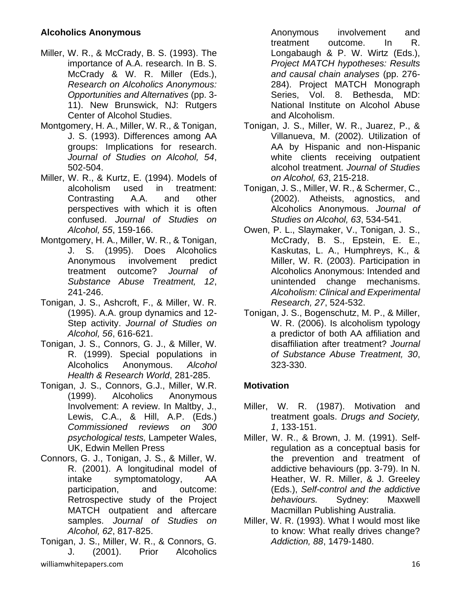## **Alcoholics Anonymous**

- Miller, W. R., & McCrady, B. S. (1993). The importance of A.A. research. In B. S. McCrady & W. R. Miller (Eds.), *Research on Alcoholics Anonymous: Opportunities and Alternatives* (pp. 3- 11). New Brunswick, NJ: Rutgers Center of Alcohol Studies.
- Montgomery, H. A., Miller, W. R., & Tonigan, J. S. (1993). Differences among AA groups: Implications for research. *Journal of Studies on Alcohol, 54*, 502-504.
- Miller, W. R., & Kurtz, E. (1994). Models of alcoholism used in treatment: Contrasting A.A. and other perspectives with which it is often confused. *Journal of Studies on Alcohol, 55*, 159-166.
- Montgomery, H. A., Miller, W. R., & Tonigan, J. S. (1995). Does Alcoholics Anonymous involvement predict treatment outcome? *Journal of Substance Abuse Treatment, 12*, 241-246.
- Tonigan, J. S., Ashcroft, F., & Miller, W. R. (1995). A.A. group dynamics and 12- Step activity. *Journal of Studies on Alcohol, 56*, 616-621.
- Tonigan, J. S., Connors, G. J., & Miller, W. R. (1999). Special populations in Alcoholics Anonymous. *Alcohol Health & Research World*, 281-285.
- Tonigan, J. S., Connors, G.J., Miller, W.R. (1999). Alcoholics Anonymous Involvement: A review. In Maltby, J., Lewis, C.A., & Hill, A.P. (Eds.) *Commissioned reviews on 300 psychological tests,* Lampeter Wales, UK, Edwin Mellen Press
- Connors, G. J., Tonigan, J. S., & Miller, W. R. (2001). A longitudinal model of intake symptomatology, AA participation, and outcome: Retrospective study of the Project MATCH outpatient and aftercare samples. *Journal of Studies on Alcohol, 62*, 817-825.
- williamwhitepapers.com 16 Tonigan, J. S., Miller, W. R., & Connors, G. J. (2001). Prior Alcoholics

Anonymous involvement and treatment outcome. In R. Longabaugh & P. W. Wirtz (Eds.), *Project MATCH hypotheses: Results and causal chain analyses* (pp. 276- 284). Project MATCH Monograph Series, Vol. 8. Bethesda, MD: National Institute on Alcohol Abuse and Alcoholism.

- Tonigan, J. S., Miller, W. R., Juarez, P., & Villanueva, M. (2002). Utilization of AA by Hispanic and non-Hispanic white clients receiving outpatient alcohol treatment. *Journal of Studies on Alcohol, 63*, 215-218.
- Tonigan, J. S., Miller, W. R., & Schermer, C., (2002). Atheists, agnostics, and Alcoholics Anonymous. *Journal of Studies on Alcohol, 63*, 534-541.
- Owen, P. L., Slaymaker, V., Tonigan, J. S., McCrady, B. S., Epstein, E. E., Kaskutas, L. A., Humphreys, K., & Miller, W. R. (2003). Participation in Alcoholics Anonymous: Intended and unintended change mechanisms. *Alcoholism: Clinical and Experimental Research, 27*, 524-532.
- Tonigan, J. S., Bogenschutz, M. P., & Miller, W. R. (2006). Is alcoholism typology a predictor of both AA affiliation and disaffiliation after treatment? *Journal of Substance Abuse Treatment, 30*, 323-330.

# **Motivation**

- Miller, W. R. (1987). Motivation and treatment goals. *Drugs and Society, 1*, 133-151.
- Miller, W. R., & Brown, J. M. (1991). Selfregulation as a conceptual basis for the prevention and treatment of addictive behaviours (pp. 3-79). In N. Heather, W. R. Miller, & J. Greeley (Eds.), *Self-control and the addictive behaviours.* Sydney: Maxwell Macmillan Publishing Australia.
- Miller, W. R. (1993). What I would most like to know: What really drives change? *Addiction, 88*, 1479-1480.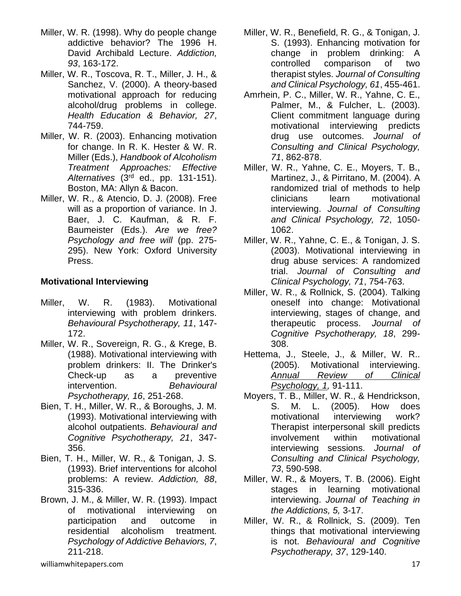- Miller, W. R. (1998). Why do people change addictive behavior? The 1996 H. David Archibald Lecture. *Addiction, 93*, 163-172.
- Miller, W. R., Toscova, R. T., Miller, J. H., & Sanchez, V. (2000). A theory-based motivational approach for reducing alcohol/drug problems in college. *Health Education & Behavior, 27*, 744-759.
- Miller, W. R. (2003). Enhancing motivation for change. In R. K. Hester & W. R. Miller (Eds.), *Handbook of Alcoholism Treatment Approaches: Effective Alternatives* (3rd ed., pp. 131-151). Boston, MA: Allyn & Bacon.
- Miller, W. R., & Atencio, D. J. (2008). Free will as a proportion of variance. In J. Baer, J. C. Kaufman, & R. F. Baumeister (Eds.). *Are we free? Psychology and free will* (pp. 275- 295). New York: Oxford University Press.

# **Motivational Interviewing**

- Miller, W. R. (1983). Motivational interviewing with problem drinkers. *Behavioural Psychotherapy, 11*, 147- 172.
- Miller, W. R., Sovereign, R. G., & Krege, B. (1988). Motivational interviewing with problem drinkers: II. The Drinker's Check-up as a preventive intervention. *Behavioural Psychotherapy, 16*, 251-268.
- Bien, T. H., Miller, W. R., & Boroughs, J. M. (1993). Motivational interviewing with alcohol outpatients. *Behavioural and Cognitive Psychotherapy, 21*, 347- 356.
- Bien, T. H., Miller, W. R., & Tonigan, J. S. (1993). Brief interventions for alcohol problems: A review. *Addiction, 88*, 315-336.
- Brown, J. M., & Miller, W. R. (1993). Impact of motivational interviewing on participation and outcome in residential alcoholism treatment. *Psychology of Addictive Behaviors, 7*, 211-218.
- Miller, W. R., Benefield, R. G., & Tonigan, J. S. (1993). Enhancing motivation for change in problem drinking: A controlled comparison of two therapist styles. *Journal of Consulting and Clinical Psychology, 61*, 455-461.
- Amrhein, P. C., Miller, W. R., Yahne, C. E., Palmer, M., & Fulcher, L. (2003). Client commitment language during motivational interviewing predicts drug use outcomes. *Journal of Consulting and Clinical Psychology, 71*, 862-878.
- Miller, W. R., Yahne, C. E., Moyers, T. B., Martinez, J., & Pirritano, M. (2004). A randomized trial of methods to help clinicians learn motivational interviewing. *Journal of Consulting and Clinical Psychology, 72*, 1050- 1062.
- Miller, W. R., Yahne, C. E., & Tonigan, J. S. (2003). Motivational interviewing in drug abuse services: A randomized trial. *Journal of Consulting and Clinical Psychology, 71*, 754-763.
- Miller, W. R., & Rollnick, S. (2004). Talking oneself into change: Motivational interviewing, stages of change, and therapeutic process. *Journal of Cognitive Psychotherapy, 18*, 299- 308.
- Hettema, J., Steele, J., & Miller, W. R.. (2005). Motivational interviewing. *Annual Review of Clinical Psychology, 1,* 91-111.
- Moyers, T. B., Miller, W. R., & Hendrickson, S. M. L. (2005). How does motivational interviewing work? Therapist interpersonal skill predicts involvement within motivational interviewing sessions. *Journal of Consulting and Clinical Psychology, 73*, 590-598.
- Miller, W. R., & Moyers, T. B. (2006). Eight stages in learning motivational interviewing. *Journal of Teaching in the Addictions, 5,* 3-17.
- Miller, W. R., & Rollnick, S. (2009). Ten things that motivational interviewing is not. *Behavioural and Cognitive Psychotherapy, 37*, 129-140.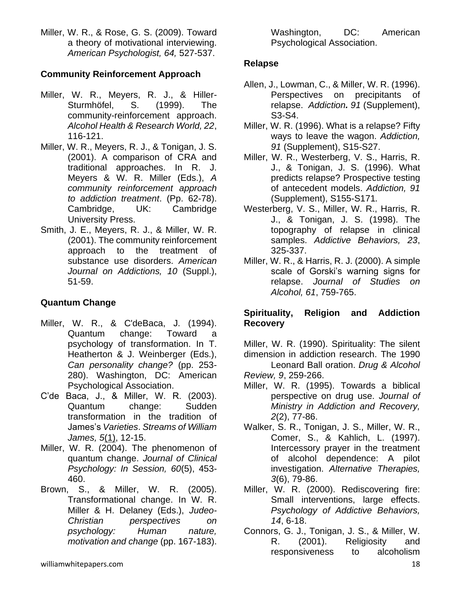Miller, W. R., & Rose, G. S. (2009). Toward a theory of motivational interviewing. *American Psychologist, 64,* 527-537.

## **Community Reinforcement Approach**

- Miller, W. R., Meyers, R. J., & Hiller-Sturmhöfel, S. (1999). The community-reinforcement approach. *Alcohol Health & Research World, 22*, 116-121.
- Miller, W. R., Meyers, R. J., & Tonigan, J. S. (2001). A comparison of CRA and traditional approaches. In R. J. Meyers & W. R. Miller (Eds.), *A community reinforcement approach to addiction treatment*. (Pp. 62-78). Cambridge, UK: Cambridge University Press.
- Smith, J. E., Meyers, R. J., & Miller, W. R. (2001). The community reinforcement approach to the treatment of substance use disorders. *American Journal on Addictions, 10* (Suppl.), 51-59.

# **Quantum Change**

- Miller, W. R., & C'deBaca, J. (1994). Quantum change: Toward a psychology of transformation. In T. Heatherton & J. Weinberger (Eds.), *Can personality change?* (pp. 253- 280). Washington, DC: American Psychological Association.
- C'de Baca, J., & Miller, W. R. (2003). Quantum change: Sudden transformation in the tradition of James's *Varieties*. *Streams of William James, 5*(1), 12-15.
- Miller, W. R. (2004). The phenomenon of quantum change. *Journal of Clinical Psychology: In Session, 60*(5), 453- 460.
- Brown, S., & Miller, W. R. (2005). Transformational change. In W. R. Miller & H. Delaney (Eds.), *Judeo-Christian perspectives on psychology: Human nature, motivation and change* (pp. 167-183).

Washington, DC: American Psychological Association.

# **Relapse**

- Allen, J., Lowman, C., & Miller, W. R. (1996). Perspectives on precipitants of relapse. *Addiction. 91* (Supplement), S3-S4.
- Miller, W. R. (1996). What is a relapse? Fifty ways to leave the wagon. *Addiction, 91* (Supplement), S15-S27.
- Miller, W. R., Westerberg, V. S., Harris, R. J., & Tonigan, J. S. (1996). What predicts relapse? Prospective testing of antecedent models. *Addiction, 91* (Supplement), S155-S171*.*
- Westerberg, V. S., Miller, W. R., Harris, R. J., & Tonigan, J. S. (1998). The topography of relapse in clinical samples. *Addictive Behaviors, 23*, 325-337.
- Miller, W. R., & Harris, R. J. (2000). A simple scale of Gorski's warning signs for relapse. *Journal of Studies on Alcohol, 61*, 759-765.

# **Spirituality, Religion and Addiction Recovery**

Miller, W. R. (1990). Spirituality: The silent dimension in addiction research. The 1990 Leonard Ball oration. *Drug & Alcohol* 

- *Review, 9*, 259-266.
- Miller, W. R. (1995). Towards a biblical perspective on drug use. *Journal of Ministry in Addiction and Recovery, 2*(2), 77-86.
- Walker, S. R., Tonigan, J. S., Miller, W. R., Comer, S., & Kahlich, L. (1997). Intercessory prayer in the treatment of alcohol dependence: A pilot investigation. *Alternative Therapies, 3*(6), 79-86.
- Miller, W. R. (2000). Rediscovering fire: Small interventions, large effects. *Psychology of Addictive Behaviors, 14*, 6-18.
- Connors, G. J., Tonigan, J. S., & Miller, W. R. (2001). Religiosity and responsiveness to alcoholism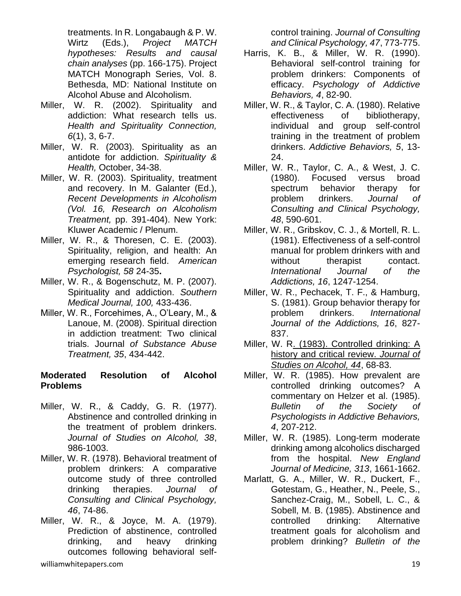treatments. In R. Longabaugh & P. W. Wirtz (Eds.), *Project MATCH hypotheses: Results and causal chain analyses* (pp. 166-175). Project MATCH Monograph Series, Vol. 8. Bethesda, MD: National Institute on Alcohol Abuse and Alcoholism.

- Miller, W. R. (2002). Spirituality and addiction: What research tells us. *Health and Spirituality Connection, 6*(1), 3, 6-7.
- Miller, W. R. (2003). Spirituality as an antidote for addiction. *Spirituality & Health,* October, 34-38.
- Miller, W. R. (2003). Spirituality, treatment and recovery. In M. Galanter (Ed.), *Recent Developments in Alcoholism (Vol. 16, Research on Alcoholism Treatment,* pp. 391-404). New York: Kluwer Academic / Plenum.
- Miller, W. R., & Thoresen, C. E. (2003). Spirituality, religion, and health: An emerging research field. *American Psychologist, 58* 24-35**.**
- Miller, W. R., & Bogenschutz, M. P. (2007). Spirituality and addiction. *Southern Medical Journal, 100,* 433-436.
- Miller, W. R., Forcehimes, A., O'Leary, M., & Lanoue, M. (2008). Spiritual direction in addiction treatment: Two clinical trials. Journal *of Substance Abuse Treatment, 35*, 434-442.

#### **Moderated Resolution of Alcohol Problems**

- Miller, W. R., & Caddy, G. R. (1977). Abstinence and controlled drinking in the treatment of problem drinkers. *Journal of Studies on Alcohol, 38*, 986-1003.
- Miller, W. R. (1978). Behavioral treatment of problem drinkers: A comparative outcome study of three controlled drinking therapies. *Journal of Consulting and Clinical Psychology, 46*, 74-86.
- Miller, W. R., & Joyce, M. A. (1979). Prediction of abstinence, controlled drinking, and heavy drinking outcomes following behavioral self-

control training. *Journal of Consulting and Clinical Psychology, 47*, 773-775.

- Harris, K. B., & Miller, W. R. (1990). Behavioral self-control training for problem drinkers: Components of efficacy. *Psychology of Addictive Behaviors, 4*, 82-90.
- Miller, W. R., & Taylor, C. A. (1980). Relative effectiveness of bibliotherapy, individual and group self-control training in the treatment of problem drinkers. *Addictive Behaviors, 5*, 13- 24.
- Miller, W. R., Taylor, C. A., & West, J. C. (1980). Focused versus broad spectrum behavior therapy for problem drinkers. *Journal of Consulting and Clinical Psychology, 48*, 590-601.
- Miller, W. R., Gribskov, C. J., & Mortell, R. L. (1981). Effectiveness of a self-control manual for problem drinkers with and without therapist contact. *International Journal of the Addictions, 16*, 1247-1254.
- Miller, W. R., Pechacek, T. F., & Hamburg, S. (1981). Group behavior therapy for problem drinkers. *International Journal of the Addictions, 16*, 827- 837.
- Miller, W. R. (1983). Controlled drinking: A history and critical review. *Journal of Studies on Alcohol, 44*, 68-83.
- Miller, W. R. (1985). How prevalent are controlled drinking outcomes? A commentary on Helzer et al. (1985). *Bulletin of the Society of Psychologists in Addictive Behaviors, 4*, 207-212.
- Miller, W. R. (1985). Long-term moderate drinking among alcoholics discharged from the hospital. *New England Journal of Medicine, 313*, 1661-1662.
- Marlatt, G. A., Miller, W. R., Duckert, F., Gotestam, G., Heather, N., Peele, S., Sanchez-Craig, M., Sobell, L. C., & Sobell, M. B. (1985). Abstinence and controlled drinking: Alternative treatment goals for alcoholism and problem drinking? *Bulletin of the*